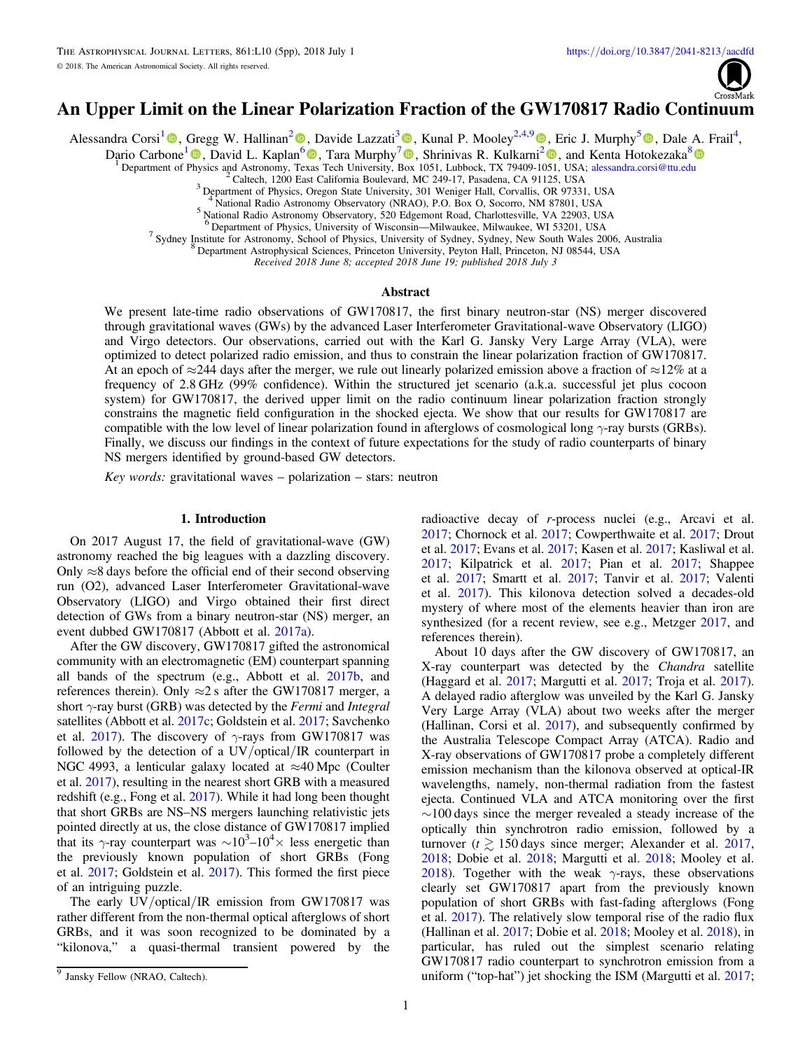

# <span id="page-0-0"></span>An Upper Limit on the Linear Polarization Fraction of the GW170817 Radio Continuum

Alessandra Corsi<sup>[1](https://orcid.org/0000-0001-8104-3536)</sup> <sup>®</sup>[,](https://orcid.org/0000-0002-9190-662X) Gregg W. Hallinan<sup>[2](https://orcid.org/0000-0002-7083-4049)</sup> <sup>®</sup>, Davide Lazzati<sup>[3](https://orcid.org/0000-0002-9190-662X)</sup> <sup>®</sup>, Kunal P. Mooley<sup>2,4,[9](https://orcid.org/0000-0002-2557-5180)</sup> ®, Eric J. Murphy<sup>[5](https://orcid.org/0000-0001-7089-7325)</sup> ®, Dale A. Frail<sup>4</sup>,

Dario Carbone<sup>[1](https://orcid.org/0000-0002-6575-4642)</sup> **(0)**[,](https://orcid.org/0000-0002-6575-4642) David L. Kaplan<sup>[6](https://orcid.org/0000-0001-6295-2881)</sup> **(0)**, Tara Murphy<sup>[7](https://orcid.org/0000-0002-2686-438X)</sup> **(0)**, Shrinivas R. Kulkarni<sup>[2](https://orcid.org/0000-0001-5390-8563)</sup> **(0)**, and Kenta Hotokezaka<sup>[8](https://orcid.org/0000-0002-2502-3730)</sup> **(0)** 

<sup>1</sup> Department of [Phy](https://orcid.org/0000-0002-6575-4642)sics and Astronomy, Te[xas](https://orcid.org/0000-0001-6295-2881) Tech University, [Box](https://orcid.org/0000-0002-2686-438X) 1[051,](https://orcid.org/0000-0001-5390-8563) Lubbock, TX 79409-1051, USA; [alessandra.corsi@ttu.edu](mailto:alessandra.corsi@ttu.edu)<br><sup>2</sup> Caltech, 1200 East California Boulevard, MC 249-17, Pasadena, CA 91125, USA<br><sup>3</sup> Departmen

<sup>4</sup> National Radio Astronomy Observatory (NRAO), P.O. Box O, Socorro, NM 87801, USA National Radio Astronomy Observatory, 520 Edgemont Road, Charlottesville, VA 22903, USA <sup>6</sup> Department of Physics, University of Wisconsin

 $^7$  Sydney Institute for Astronomy, School of Physics, University of Sydney, Sydney, New South Wales 2006, Australia  $^8$  Department Astrophysical Sciences, Princeton University, Peyton Hall, Princeton, NJ 08544, USA

Received 2018 June 8; accepted 2018 June 19; published 2018 July 3

#### **Abstract**

We present late-time radio observations of GW170817, the first binary neutron-star (NS) merger discovered through gravitational waves (GWs) by the advanced Laser Interferometer Gravitational-wave Observatory (LIGO) and Virgo detectors. Our observations, carried out with the Karl G. Jansky Very Large Array (VLA), were optimized to detect polarized radio emission, and thus to constrain the linear polarization fraction of GW170817. At an epoch of ≈244 days after the merger, we rule out linearly polarized emission above a fraction of ≈12% at a frequency of 2.8 GHz (99% confidence). Within the structured jet scenario (a.k.a. successful jet plus cocoon system) for GW170817, the derived upper limit on the radio continuum linear polarization fraction strongly constrains the magnetic field configuration in the shocked ejecta. We show that our results for GW170817 are compatible with the low level of linear polarization found in afterglows of cosmological long γ-ray bursts (GRBs). Finally, we discuss our findings in the context of future expectations for the study of radio counterparts of binary NS mergers identified by ground-based GW detectors.

Key words: gravitational waves  $-$  polarization  $-$  stars: neutron

#### 1. Introduction

On 2017 August 17, the field of gravitational-wave (GW) astronomy reached the big leagues with a dazzling discovery. Only  $\approx$ 8 days before the official end of their second observing run (O2), advanced Laser Interferometer Gravitational-wave Observatory (LIGO) and Virgo obtained their first direct detection of GWs from a binary neutron-star (NS) merger, an event dubbed GW170817 (Abbott et al. [2017a](#page-3-0)).

After the GW discovery, GW170817 gifted the astronomical community with an electromagnetic (EM) counterpart spanning all bands of the spectrum (e.g., Abbott et al. [2017b,](#page-3-0) and references therein). Only  $\approx$ 2 s after the GW170817 merger, a short  $\gamma$ -ray burst (GRB) was detected by the Fermi and Integral satellites (Abbott et al. [2017c](#page-3-0); Goldstein et al. [2017](#page-4-0); Savchenko et al. [2017](#page-4-0)). The discovery of  $\gamma$ -rays from GW170817 was followed by the detection of a UV/optical/IR counterpart in NGC 4993, a lenticular galaxy located at  $\approx$ 40 Mpc (Coulter et al. [2017](#page-3-0)), resulting in the nearest short GRB with a measured redshift (e.g., Fong et al. [2017](#page-3-0)). While it had long been thought that short GRBs are NS–NS mergers launching relativistic jets pointed directly at us, the close distance of GW170817 implied that its  $\gamma$ -ray counterpart was  $\sim 10^3 - 10^4 \times$  less energetic than the previously known population of short GRBs (Fong et al. [2017](#page-3-0); Goldstein et al. [2017](#page-4-0)). This formed the first piece of an intriguing puzzle.

The early UV/optical/IR emission from GW170817 was rather different from the non-thermal optical afterglows of short GRBs, and it was soon recognized to be dominated by a "kilonova," a quasi-thermal transient powered by the radioactive decay of r-process nuclei (e.g., Arcavi et al. [2017;](#page-3-0) Chornock et al. [2017](#page-3-0); Cowperthwaite et al. [2017](#page-3-0); Drout et al. [2017](#page-3-0); Evans et al. [2017](#page-3-0); Kasen et al. [2017](#page-4-0); Kasliwal et al. [2017;](#page-4-0) Kilpatrick et al. [2017](#page-4-0); Pian et al. [2017](#page-4-0); Shappee et al. [2017;](#page-4-0) Smartt et al. [2017](#page-4-0); Tanvir et al. [2017;](#page-4-0) Valenti et al. [2017](#page-4-0)). This kilonova detection solved a decades-old mystery of where most of the elements heavier than iron are synthesized (for a recent review, see e.g., Metzger [2017](#page-4-0), and references therein).

About 10 days after the GW discovery of GW170817, an X-ray counterpart was detected by the Chandra satellite (Haggard et al. [2017;](#page-4-0) Margutti et al. [2017](#page-4-0); Troja et al. [2017](#page-4-0)). A delayed radio afterglow was unveiled by the Karl G. Jansky Very Large Array (VLA) about two weeks after the merger (Hallinan, Corsi et al. [2017](#page-4-0)), and subsequently confirmed by the Australia Telescope Compact Array (ATCA). Radio and X-ray observations of GW170817 probe a completely different emission mechanism than the kilonova observed at optical-IR wavelengths, namely, non-thermal radiation from the fastest ejecta. Continued VLA and ATCA monitoring over the first ∼100 days since the merger revealed a steady increase of the optically thin synchrotron radio emission, followed by a turnover ( $t \ge 150$  days since merger; Alexander et al. [2017](#page-3-0), [2018;](#page-3-0) Dobie et al. [2018](#page-3-0); Margutti et al. [2018;](#page-4-0) Mooley et al. [2018](#page-4-0)). Together with the weak  $\gamma$ -rays, these observations clearly set GW170817 apart from the previously known population of short GRBs with fast-fading afterglows (Fong et al. [2017](#page-3-0)). The relatively slow temporal rise of the radio flux (Hallinan et al. [2017](#page-4-0); Dobie et al. [2018;](#page-3-0) Mooley et al. [2018](#page-4-0)), in particular, has ruled out the simplest scenario relating GW170817 radio counterpart to synchrotron emission from a uniform ("top-hat") jet shocking the ISM (Margutti et al. [2017](#page-4-0);

<sup>&</sup>lt;sup>9</sup> Jansky Fellow (NRAO, Caltech).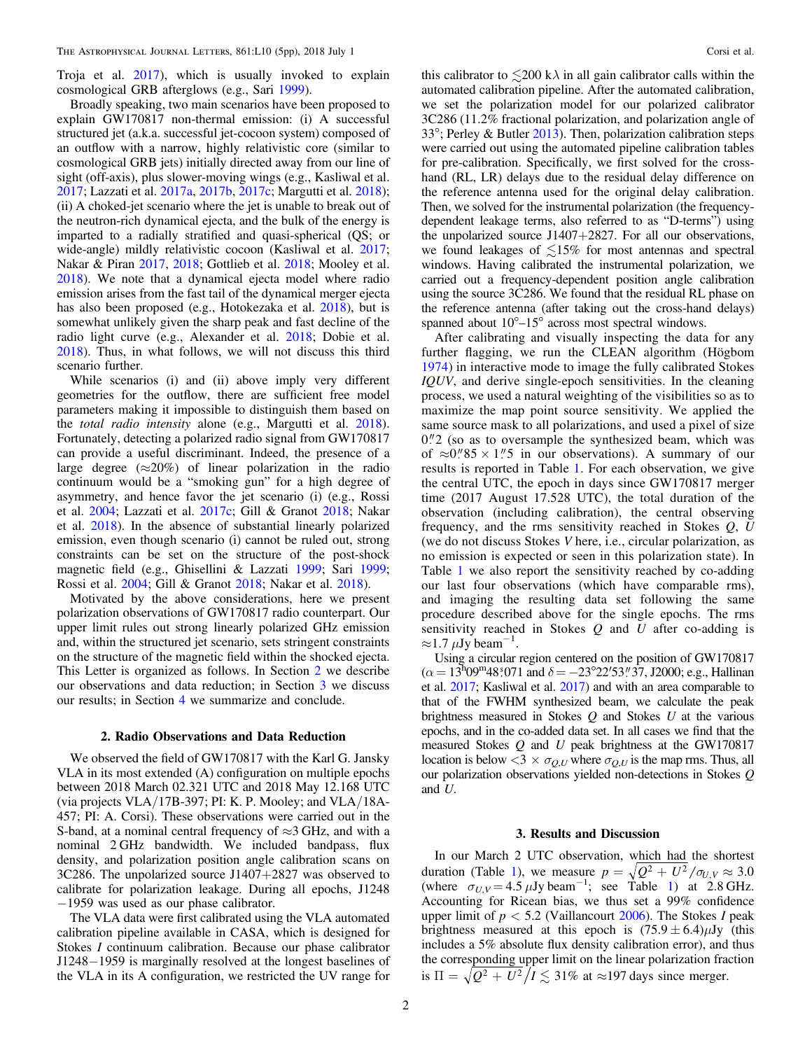Troja et al. [2017](#page-4-0)), which is usually invoked to explain cosmological GRB afterglows (e.g., Sari [1999](#page-4-0)).

Broadly speaking, two main scenarios have been proposed to explain GW170817 non-thermal emission: (i) A successful structured jet (a.k.a. successful jet-cocoon system) composed of an outflow with a narrow, highly relativistic core (similar to cosmological GRB jets) initially directed away from our line of sight (off-axis), plus slower-moving wings (e.g., Kasliwal et al. [2017;](#page-4-0) Lazzati et al. [2017a](#page-4-0), [2017b](#page-4-0), [2017c](#page-4-0); Margutti et al. [2018](#page-4-0)); (ii) A choked-jet scenario where the jet is unable to break out of the neutron-rich dynamical ejecta, and the bulk of the energy is imparted to a radially stratified and quasi-spherical (QS; or wide-angle) mildly relativistic cocoon (Kasliwal et al. [2017](#page-4-0); Nakar & Piran [2017,](#page-4-0) [2018](#page-4-0); Gottlieb et al. [2018](#page-4-0); Mooley et al. [2018](#page-4-0)). We note that a dynamical ejecta model where radio emission arises from the fast tail of the dynamical merger ejecta has also been proposed (e.g., Hotokezaka et al. [2018](#page-4-0)), but is somewhat unlikely given the sharp peak and fast decline of the radio light curve (e.g., Alexander et al. [2018;](#page-3-0) Dobie et al. [2018](#page-3-0)). Thus, in what follows, we will not discuss this third scenario further.

While scenarios (i) and (ii) above imply very different geometries for the outflow, there are sufficient free model parameters making it impossible to distinguish them based on the total radio intensity alone (e.g., Margutti et al. [2018](#page-4-0)). Fortunately, detecting a polarized radio signal from GW170817 can provide a useful discriminant. Indeed, the presence of a large degree ( $\approx$ 20%) of linear polarization in the radio continuum would be a "smoking gun" for a high degree of asymmetry, and hence favor the jet scenario (i) (e.g., Rossi et al. [2004](#page-4-0); Lazzati et al. [2017c](#page-4-0); Gill & Granot [2018](#page-3-0); Nakar et al. [2018](#page-4-0)). In the absence of substantial linearly polarized emission, even though scenario (i) cannot be ruled out, strong constraints can be set on the structure of the post-shock magnetic field (e.g., Ghisellini & Lazzati [1999;](#page-3-0) Sari [1999](#page-4-0); Rossi et al. [2004](#page-4-0); Gill & Granot [2018;](#page-3-0) Nakar et al. [2018](#page-4-0)).

Motivated by the above considerations, here we present polarization observations of GW170817 radio counterpart. Our upper limit rules out strong linearly polarized GHz emission and, within the structured jet scenario, sets stringent constraints on the structure of the magnetic field within the shocked ejecta. This Letter is organized as follows. In Section 2 we describe our observations and data reduction; in Section 3 we discuss our results; in Section [4](#page-3-0) we summarize and conclude.

#### 2. Radio Observations and Data Reduction

We observed the field of GW170817 with the Karl G. Jansky VLA in its most extended (A) configuration on multiple epochs between 2018 March 02.321 UTC and 2018 May 12.168 UTC (via projects VLA/17B-397; PI: K. P. Mooley; and VLA/18A-457; PI: A. Corsi). These observations were carried out in the S-band, at a nominal central frequency of  $\approx$ 3 GHz, and with a nominal 2 GHz bandwidth. We included bandpass, flux density, and polarization position angle calibration scans on 3C286. The unpolarized source J1407+2827 was observed to calibrate for polarization leakage. During all epochs, J1248 −1959 was used as our phase calibrator.

The VLA data were first calibrated using the VLA automated calibration pipeline available in CASA, which is designed for Stokes I continuum calibration. Because our phase calibrator J1248−1959 is marginally resolved at the longest baselines of the VLA in its A configuration, we restricted the UV range for

this calibrator to  $\leq 200 \text{ k} \lambda$  in all gain calibrator calls within the automated calibration pipeline. After the automated calibration, we set the polarization model for our polarized calibrator 3C286 (11.2% fractional polarization, and polarization angle of 33°; Perley & Butler [2013](#page-4-0)). Then, polarization calibration steps were carried out using the automated pipeline calibration tables for pre-calibration. Specifically, we first solved for the crosshand (RL, LR) delays due to the residual delay difference on the reference antenna used for the original delay calibration. Then, we solved for the instrumental polarization (the frequencydependent leakage terms, also referred to as "D-terms") using the unpolarized source J1407+2827. For all our observations, we found leakages of  $\leq 15\%$  for most antennas and spectral windows. Having calibrated the instrumental polarization, we carried out a frequency-dependent position angle calibration using the source 3C286. We found that the residual RL phase on the reference antenna (after taking out the cross-hand delays) spanned about  $10^{\circ}-15^{\circ}$  across most spectral windows.

After calibrating and visually inspecting the data for any further flagging, we run the CLEAN algorithm (Högbom [1974](#page-4-0)) in interactive mode to image the fully calibrated Stokes IQUV, and derive single-epoch sensitivities. In the cleaning process, we used a natural weighting of the visibilities so as to maximize the map point source sensitivity. We applied the same source mask to all polarizations, and used a pixel of size  $0\frac{1}{2}$  (so as to oversample the synthesized beam, which was of  $\approx 0''85 \times 1''5$  in our observations). A summary of our results is reported in Table [1.](#page-2-0) For each observation, we give the central UTC, the epoch in days since GW170817 merger time (2017 August 17.528 UTC), the total duration of the observation (including calibration), the central observing frequency, and the rms sensitivity reached in Stokes  $Q, U$ (we do not discuss Stokes V here, i.e., circular polarization, as no emission is expected or seen in this polarization state). In Table [1](#page-2-0) we also report the sensitivity reached by co-adding our last four observations (which have comparable rms), and imaging the resulting data set following the same procedure described above for the single epochs. The rms sensitivity reached in Stokes  $Q$  and  $U$  after co-adding is  $\approx$ 1.7 µJy beam<sup>-1</sup>.

Using a circular region centered on the position of GW170817  $(\alpha = 13^{\text{h}}09^{\text{m}}48\degree 071$  and  $\delta = -23^{\circ}22^{\prime}53^{\prime\prime}\degree 37$ , J2000; e.g., Hallinan et al. [2017;](#page-4-0) Kasliwal et al. [2017](#page-4-0)) and with an area comparable to that of the FWHM synthesized beam, we calculate the peak brightness measured in Stokes  $Q$  and Stokes  $U$  at the various epochs, and in the co-added data set. In all cases we find that the measured Stokes Q and U peak brightness at the GW170817 location is below  $<$ 3  $\times \sigma_{Q,U}$  where  $\sigma_{Q,U}$  is the map rms. Thus, all our polarization observations yielded non-detections in Stokes Q and U.

## 3. Results and Discussion

In our March 2 UTC observation, which had the shortest duration (Table [1](#page-2-0)), we measure  $p = \sqrt{Q^2 + U^2/\sigma_{U,V}} \approx 3.0$ (where  $\sigma_{U,V} = 4.5 \,\mu\text{Jy beam}^{-1}$  $\sigma_{U,V} = 4.5 \,\mu\text{Jy beam}^{-1}$  $\sigma_{U,V} = 4.5 \,\mu\text{Jy beam}^{-1}$ ; see Table 1) at 2.8 GHz. Accounting for Ricean bias, we thus set a 99% confidence upper limit of  $p < 5.2$  (Vaillancourt [2006](#page-4-0)). The Stokes I peak brightness measured at this epoch is  $(75.9 \pm 6.4)\mu Jy$  (this includes a 5% absolute flux density calibration error), and thus the corresponding upper limit on the linear polarization fraction is  $\Pi = \sqrt{Q^2 + U^2}/I \lesssim 31\%$  at ≈197 days since merger.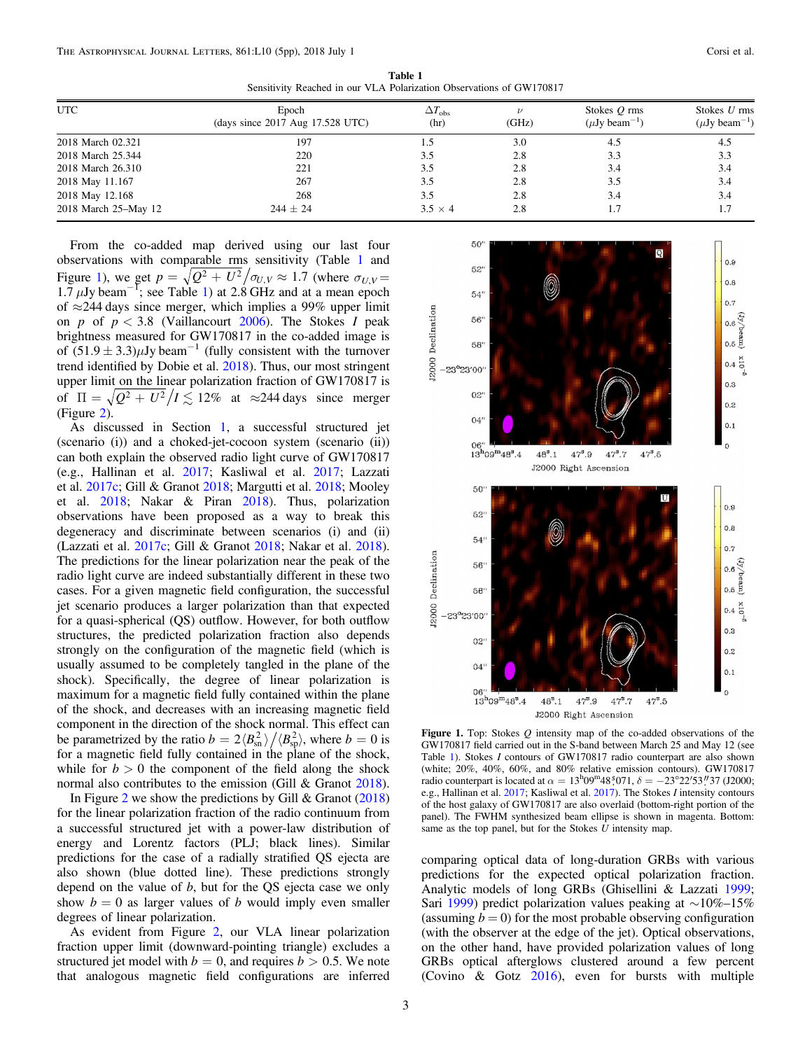<span id="page-2-0"></span>

| Schsitt (Reaction in Our VEA Foldmanon Observations of GWT/0017 |                                                         |                              |       |                                                  |                                      |
|-----------------------------------------------------------------|---------------------------------------------------------|------------------------------|-------|--------------------------------------------------|--------------------------------------|
| <b>UTC</b>                                                      | Epoch<br>$\frac{1}{2}$ (days since 2017 Aug 17.528 UTC) | $\Delta T_{\rm obs}$<br>(hr) | (GHz) | Stokes $Q$ rms<br>$(\mu Jv \, \text{beam}^{-1})$ | Stokes U rms<br>$(\mu Jy beam^{-1})$ |
| 2018 March 02.321                                               | 197                                                     |                              | 3.0   | 4.5                                              | 4.5                                  |
| 2018 March 25.344                                               | 220                                                     | 3.5                          | 2.8   | 3.3                                              | 3.3                                  |
| 2018 March 26.310                                               | 221                                                     | 3.5                          | 2.8   | 3.4                                              | 3.4                                  |
| 2018 May 11.167                                                 | 267                                                     |                              | 2.8   |                                                  | 3.4                                  |

2018 May 12.168 268 3.5 2.8 3.4 3.4 2018 March 25–May 12 244 ± 24 3.5  $\times$  4 2.8 1.7 1.7 1.7 1.7

Table 1 Sensitivity Reached in our VLA Polarization Observations of GW170817

From the co-added map derived using our last four observations with comparable rms sensitivity (Table 1 and Figure 1), we get  $p = \sqrt{Q^2 + U^2/\sigma_{U,V}} \approx 1.7$  (where  $\sigma_{U,V} =$  $1.7 \mu$ Jy beam<sup>-1</sup>; see Table 1) at 2.8 GHz and at a mean epoch of  $\approx$ 244 days since merger, which implies a 99% upper limit on p of  $p < 3.8$  (Vaillancourt [2006](#page-4-0)). The Stokes I peak brightness measured for GW170817 in the co-added image is of  $(51.9 \pm 3.3)\mu$ Jy beam<sup>-1</sup> (fully consistent with the turnover trend identified by Dobie et al. [2018](#page-3-0)). Thus, our most stringent upper limit on the linear polarization fraction of GW170817 is of  $\Pi = \sqrt{Q^2 + U^2/I} \lesssim 12\%$  at ≈244 days since merger (Figure [2](#page-3-0)).

As discussed in Section [1,](#page-0-0) a successful structured jet (scenario (i)) and a choked-jet-cocoon system (scenario (ii)) can both explain the observed radio light curve of GW170817 (e.g., Hallinan et al. [2017;](#page-4-0) Kasliwal et al. [2017](#page-4-0); Lazzati et al. [2017c](#page-4-0); Gill & Granot [2018](#page-3-0); Margutti et al. [2018;](#page-4-0) Mooley et al. [2018;](#page-4-0) Nakar & Piran [2018](#page-4-0)). Thus, polarization observations have been proposed as a way to break this degeneracy and discriminate between scenarios (i) and (ii) (Lazzati et al. [2017c;](#page-4-0) Gill & Granot [2018;](#page-3-0) Nakar et al. [2018](#page-4-0)). The predictions for the linear polarization near the peak of the radio light curve are indeed substantially different in these two cases. For a given magnetic field configuration, the successful jet scenario produces a larger polarization than that expected for a quasi-spherical (QS) outflow. However, for both outflow structures, the predicted polarization fraction also depends strongly on the configuration of the magnetic field (which is usually assumed to be completely tangled in the plane of the shock). Specifically, the degree of linear polarization is maximum for a magnetic field fully contained within the plane of the shock, and decreases with an increasing magnetic field component in the direction of the shock normal. This effect can be parametrized by the ratio  $b = 2 \langle B_{\rm sn}^2 \rangle / \langle B_{\rm sp}^2 \rangle$ , where  $b = 0$  is for a magnetic field fully contained in the plane of the shock, while for  $b > 0$  the component of the field along the shock normal also contributes to the emission (Gill & Granot [2018](#page-3-0)).

In Figure [2](#page-3-0) we show the predictions by Gill  $&$  Granot ([2018](#page-3-0)) for the linear polarization fraction of the radio continuum from a successful structured jet with a power-law distribution of energy and Lorentz factors (PLJ; black lines). Similar predictions for the case of a radially stratified QS ejecta are also shown (blue dotted line). These predictions strongly depend on the value of  $b$ , but for the QS ejecta case we only show  $b = 0$  as larger values of b would imply even smaller degrees of linear polarization.

As evident from Figure [2,](#page-3-0) our VLA linear polarization fraction upper limit (downward-pointing triangle) excludes a structured jet model with  $b = 0$ , and requires  $b > 0.5$ . We note that analogous magnetic field configurations are inferred



Figure 1. Top: Stokes  $Q$  intensity map of the co-added observations of the GW170817 field carried out in the S-band between March 25 and May 12 (see Table 1). Stokes I contours of GW170817 radio counterpart are also shown (white; 20%, 40%, 60%, and 80% relative emission contours). GW170817 radio counterpart is located at  $\alpha = 13^{\text{h}}09^{\text{m}}48^{\text{s}}071$ ,  $\delta = -23^{\circ}22'53''37$  (J2000; e.g., Hallinan et al. [2017](#page-4-0); Kasliwal et al. [2017](#page-4-0)). The Stokes I intensity contours of the host galaxy of GW170817 are also overlaid (bottom-right portion of the panel). The FWHM synthesized beam ellipse is shown in magenta. Bottom: same as the top panel, but for the Stokes  $\bar{U}$  intensity map.

comparing optical data of long-duration GRBs with various predictions for the expected optical polarization fraction. Analytic models of long GRBs (Ghisellini & Lazzati [1999](#page-3-0); Sari [1999](#page-4-0)) predict polarization values peaking at ∼10%–15% (assuming  $b = 0$ ) for the most probable observing configuration (with the observer at the edge of the jet). Optical observations, on the other hand, have provided polarization values of long GRBs optical afterglows clustered around a few percent (Covino & Gotz [2016](#page-3-0)), even for bursts with multiple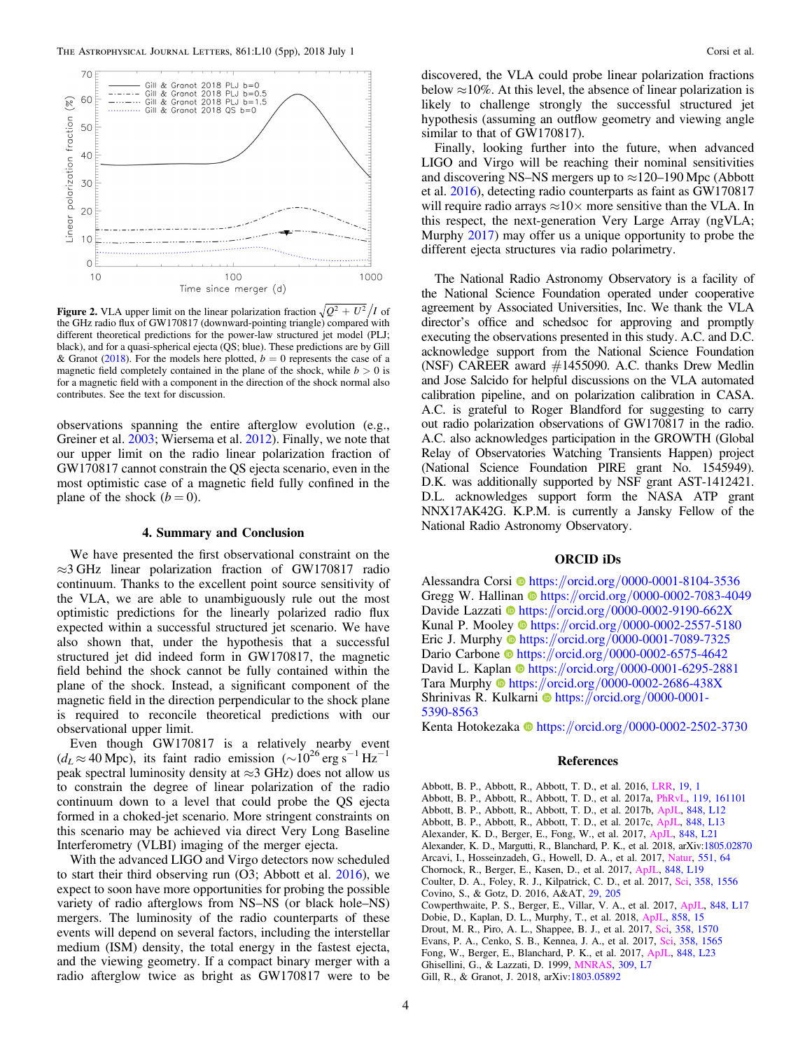<span id="page-3-0"></span>

**Figure 2.** VLA upper limit on the linear polarization fraction  $\sqrt{Q^2 + U^2/I}$  of the GHz radio flux of GW170817 (downward-pointing triangle) compared with different theoretical predictions for the power-law structured jet model (PLJ; black), and for a quasi-spherical ejecta (QS; blue). These predictions are by Gill & Granot (2018). For the models here plotted,  $b = 0$  represents the case of a magnetic field completely contained in the plane of the shock, while  $b > 0$  is for a magnetic field with a component in the direction of the shock normal also contributes. See the text for discussion.

observations spanning the entire afterglow evolution (e.g., Greiner et al. [2003;](#page-4-0) Wiersema et al. [2012](#page-4-0)). Finally, we note that our upper limit on the radio linear polarization fraction of GW170817 cannot constrain the QS ejecta scenario, even in the most optimistic case of a magnetic field fully confined in the plane of the shock  $(b = 0)$ .

## 4. Summary and Conclusion

We have presented the first observational constraint on the ≈3 GHz linear polarization fraction of GW170817 radio continuum. Thanks to the excellent point source sensitivity of the VLA, we are able to unambiguously rule out the most optimistic predictions for the linearly polarized radio flux expected within a successful structured jet scenario. We have also shown that, under the hypothesis that a successful structured jet did indeed form in GW170817, the magnetic field behind the shock cannot be fully contained within the plane of the shock. Instead, a significant component of the magnetic field in the direction perpendicular to the shock plane is required to reconcile theoretical predictions with our observational upper limit.

Even though GW170817 is a relatively nearby event  $(d_L \approx 40 \text{ Mpc})$ , its faint radio emission ( $\sim 10^{26} \text{ erg s}^{-1} \text{ Hz}^{-1}$ peak spectral luminosity density at  $\approx$ 3 GHz) does not allow us to constrain the degree of linear polarization of the radio continuum down to a level that could probe the QS ejecta formed in a choked-jet scenario. More stringent constraints on this scenario may be achieved via direct Very Long Baseline Interferometry (VLBI) imaging of the merger ejecta.

With the advanced LIGO and Virgo detectors now scheduled to start their third observing run (O3; Abbott et al. 2016), we expect to soon have more opportunities for probing the possible variety of radio afterglows from NS–NS (or black hole–NS) mergers. The luminosity of the radio counterparts of these events will depend on several factors, including the interstellar medium (ISM) density, the total energy in the fastest ejecta, and the viewing geometry. If a compact binary merger with a radio afterglow twice as bright as GW170817 were to be

discovered, the VLA could probe linear polarization fractions below  $\approx$ 10%. At this level, the absence of linear polarization is likely to challenge strongly the successful structured jet hypothesis (assuming an outflow geometry and viewing angle similar to that of GW170817).

Finally, looking further into the future, when advanced LIGO and Virgo will be reaching their nominal sensitivities and discovering NS–NS mergers up to  $\approx$ 120–190 Mpc (Abbott et al. 2016), detecting radio counterparts as faint as GW170817 will require radio arrays  $\approx 10 \times$  more sensitive than the VLA. In this respect, the next-generation Very Large Array (ngVLA; Murphy [2017](#page-4-0)) may offer us a unique opportunity to probe the different ejecta structures via radio polarimetry.

The National Radio Astronomy Observatory is a facility of the National Science Foundation operated under cooperative agreement by Associated Universities, Inc. We thank the VLA director's office and schedsoc for approving and promptly executing the observations presented in this study. A.C. and D.C. acknowledge support from the National Science Foundation (NSF) CAREER award #1455090. A.C. thanks Drew Medlin and Jose Salcido for helpful discussions on the VLA automated calibration pipeline, and on polarization calibration in CASA. A.C. is grateful to Roger Blandford for suggesting to carry out radio polarization observations of GW170817 in the radio. A.C. also acknowledges participation in the GROWTH (Global Relay of Observatories Watching Transients Happen) project (National Science Foundation PIRE grant No. 1545949). D.K. was additionally supported by NSF grant AST-1412421. D.L. acknowledges support form the NASA ATP grant NNX17AK42G. K.P.M. is currently a Jansky Fellow of the National Radio Astronomy Observatory.

# ORCID iDs

Alessandra Cors[i](https://orcid.org/0000-0001-8104-3536) @ [https:](https://orcid.org/0000-0001-8104-3536)//orcid.org/[0000-0001-8104-3536](https://orcid.org/0000-0001-8104-3536) Gregg W. Hallinan C[https:](https://orcid.org/0000-0002-7083-4049)//orcid.org/[0000-0002-7083-4049](https://orcid.org/0000-0002-7083-4049) Davide Lazzati @ [https:](https://orcid.org/0000-0002-9190-662X)//orcid.org/[0000-0002-9190-662X](https://orcid.org/0000-0002-9190-662X) Kunal P. Mooley **the [https:](https://orcid.org/0000-0002-2557-5180)**//orcid.org/[0000-0002-2557-5180](https://orcid.org/0000-0002-2557-5180) Eric J. Murph[y](https://orcid.org/0000-0001-7089-7325) the [https:](https://orcid.org/0000-0001-7089-7325)//orcid.org/[0000-0001-7089-7325](https://orcid.org/0000-0001-7089-7325) Dario Carbon[e](https://orcid.org/0000-0002-6575-4642) illus: //orcid.org/[0000-0002-6575-4642](https://orcid.org/0000-0002-6575-4642) David L. Kaplan @ [https:](https://orcid.org/0000-0001-6295-2881)//orcid.org/[0000-0001-6295-2881](https://orcid.org/0000-0001-6295-2881) Tara Murph[y](https://orcid.org/0000-0002-2686-438X) <sup>●</sup> [https:](https://orcid.org/0000-0002-2686-438X)//orcid.org/[0000-0002-2686-438X](https://orcid.org/0000-0002-2686-438X) Shrinivas R. Kulkarni @ [https:](https://orcid.org/0000-0001-5390-8563)//orcid.org/[0000-0001-](https://orcid.org/0000-0001-5390-8563) [5390-8563](https://orcid.org/0000-0001-5390-8563)

Kenta Hotokezaka **[https:](https://orcid.org/0000-0002-2502-3730)//orcid.org/[0000-0002-2502-3730](https://orcid.org/0000-0002-2502-3730)** 

#### References

Abbott, B. P., Abbott, R., Abbott, T. D., et al. 2016, [LRR](https://doi.org/10.1007/lrr-2016-1), [19, 1](http://adsabs.harvard.edu/abs/2016LRR....19....1A) Abbott, B. P., Abbott, R., Abbott, T. D., et al. 2017a, [PhRvL,](https://doi.org/10.1103/PhysRevLett.119.161101) [119, 161101](http://adsabs.harvard.edu/abs/2017PhRvL.119p1101A) Abbott, B. P., Abbott, R., Abbott, T. D., et al. 2017b, [ApJL](https://doi.org/10.3847/2041-8213/aa91c9), [848, L12](http://adsabs.harvard.edu/abs/2017ApJ...848L..12A) Abbott, B. P., Abbott, R., Abbott, T. D., et al. 2017c, [ApJL,](https://doi.org/10.3847/2041-8213/aa920c) [848, L13](http://adsabs.harvard.edu/abs/2017ApJ...848L..13A) Alexander, K. D., Berger, E., Fong, W., et al. 2017, [ApJL,](https://doi.org/10.3847/2041-8213/aa905d) [848, L21](http://adsabs.harvard.edu/abs/2017ApJ...848L..21A) Alexander, K. D., Margutti, R., Blanchard, P. K., et al. 2018, arXiv[:1805.02870](http://arxiv.org/abs/1805.02870) Arcavi, I., Hosseinzadeh, G., Howell, D. A., et al. 2017, [Natur,](https://doi.org/10.1038/nature24291) [551, 64](http://adsabs.harvard.edu/abs/2017Natur.551...64A) Chornock, R., Berger, E., Kasen, D., et al. 2017, [ApJL,](https://doi.org/10.3847/2041-8213/aa905c) [848, L19](http://adsabs.harvard.edu/abs/2017ApJ...848L..19C) Coulter, D. A., Foley, R. J., Kilpatrick, C. D., et al. 2017, [Sci](https://doi.org/10.1126/science.aap9811), [358, 1556](http://adsabs.harvard.edu/abs/2017Sci...358.1556C) Covino, S., & Gotz, D. 2016, A&AT, [29, 205](http://adsabs.harvard.edu/abs/2016A&AT...29..205C) Cowperthwaite, P. S., Berger, E., Villar, V. A., et al. 2017, [ApJL,](https://doi.org/10.3847/2041-8213/aa8fc7) [848, L17](http://adsabs.harvard.edu/abs/2017ApJ...848L..17C) Dobie, D., Kaplan, D. L., Murphy, T., et al. 2018, [ApJL](https://doi.org/10.3847/2041-8213/aac105), [858, 15](http://adsabs.harvard.edu/abs/2018arXiv180306853D) Drout, M. R., Piro, A. L., Shappee, B. J., et al. 2017, [Sci,](https://doi.org/10.1126/science.aaq0049) [358, 1570](http://adsabs.harvard.edu/abs/2017Sci...358.1570D) Evans, P. A., Cenko, S. B., Kennea, J. A., et al. 2017, [Sci,](https://doi.org/10.1126/science.aap9580) [358, 1565](http://adsabs.harvard.edu/abs/2017Sci...358.1565E) Fong, W., Berger, E., Blanchard, P. K., et al. 2017, [ApJL,](https://doi.org/10.3847/2041-8213/aa9018) [848, L23](http://adsabs.harvard.edu/abs/2017ApJ...848L..23F) Ghisellini, G., & Lazzati, D. 1999, [MNRAS,](https://doi.org/10.1046/j.1365-8711.1999.03025.x) [309, L7](http://adsabs.harvard.edu/abs/1999MNRAS.309L...7G)